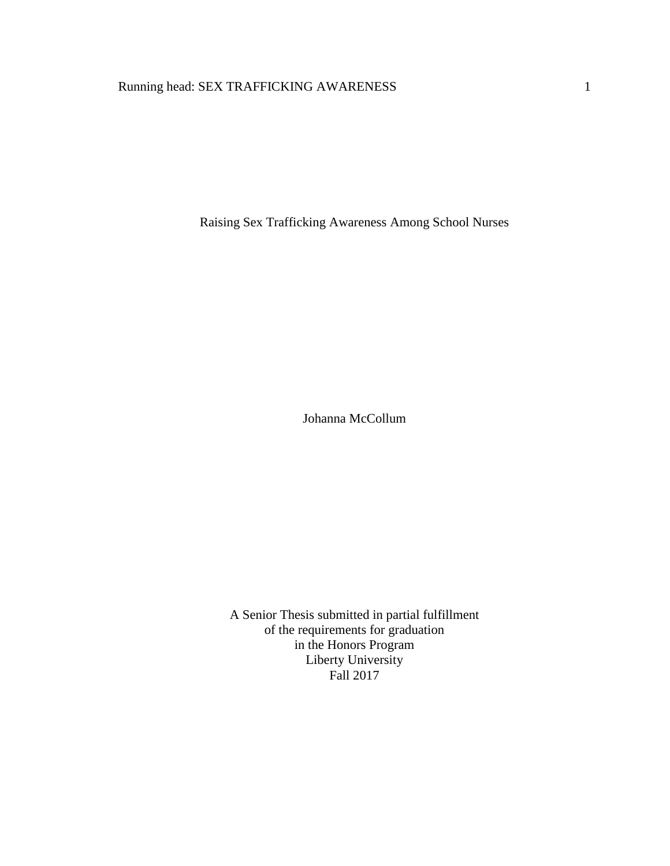# Running head: SEX TRAFFICKING AWARENESS 1

Raising Sex Trafficking Awareness Among School Nurses

Johanna McCollum

A Senior Thesis submitted in partial fulfillment of the requirements for graduation in the Honors Program Liberty University Fall 2017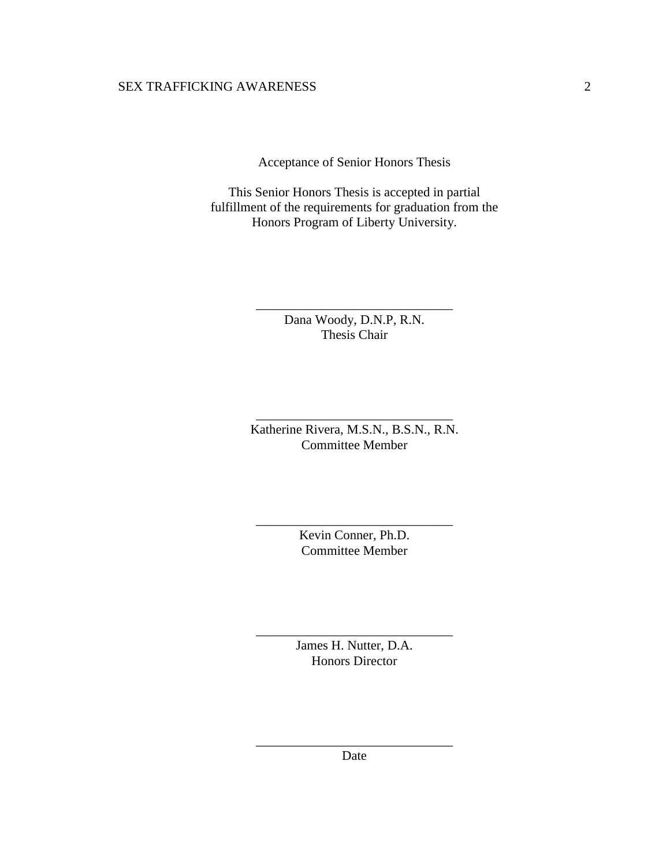Acceptance of Senior Honors Thesis

This Senior Honors Thesis is accepted in partial fulfillment of the requirements for graduation from the Honors Program of Liberty University.

> Dana Woody, D.N.P, R.N. Thesis Chair

\_\_\_\_\_\_\_\_\_\_\_\_\_\_\_\_\_\_\_\_\_\_\_\_\_\_\_\_\_\_

Katherine Rivera, M.S.N., B.S.N., R.N. Committee Member

\_\_\_\_\_\_\_\_\_\_\_\_\_\_\_\_\_\_\_\_\_\_\_\_\_\_\_\_\_\_

Kevin Conner, Ph.D. Committee Member

\_\_\_\_\_\_\_\_\_\_\_\_\_\_\_\_\_\_\_\_\_\_\_\_\_\_\_\_\_\_

James H. Nutter, D.A. Honors Director

\_\_\_\_\_\_\_\_\_\_\_\_\_\_\_\_\_\_\_\_\_\_\_\_\_\_\_\_\_\_

\_\_\_\_\_\_\_\_\_\_\_\_\_\_\_\_\_\_\_\_\_\_\_\_\_\_\_\_\_\_ Date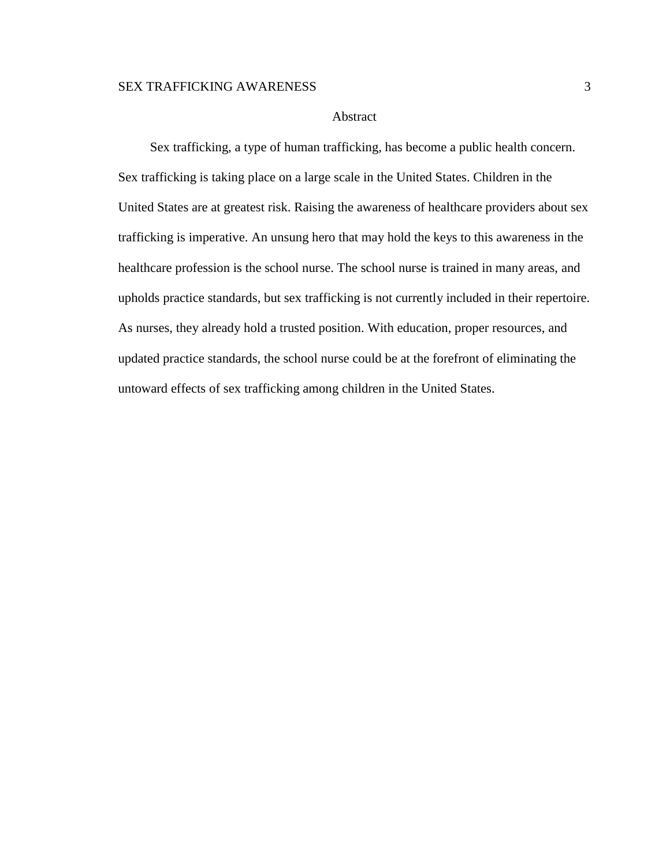### Abstract

Sex trafficking, a type of human trafficking, has become a public health concern. Sex trafficking is taking place on a large scale in the United States. Children in the United States are at greatest risk. Raising the awareness of healthcare providers about sex trafficking is imperative. An unsung hero that may hold the keys to this awareness in the healthcare profession is the school nurse. The school nurse is trained in many areas, and upholds practice standards, but sex trafficking is not currently included in their repertoire. As nurses, they already hold a trusted position. With education, proper resources, and updated practice standards, the school nurse could be at the forefront of eliminating the untoward effects of sex trafficking among children in the United States.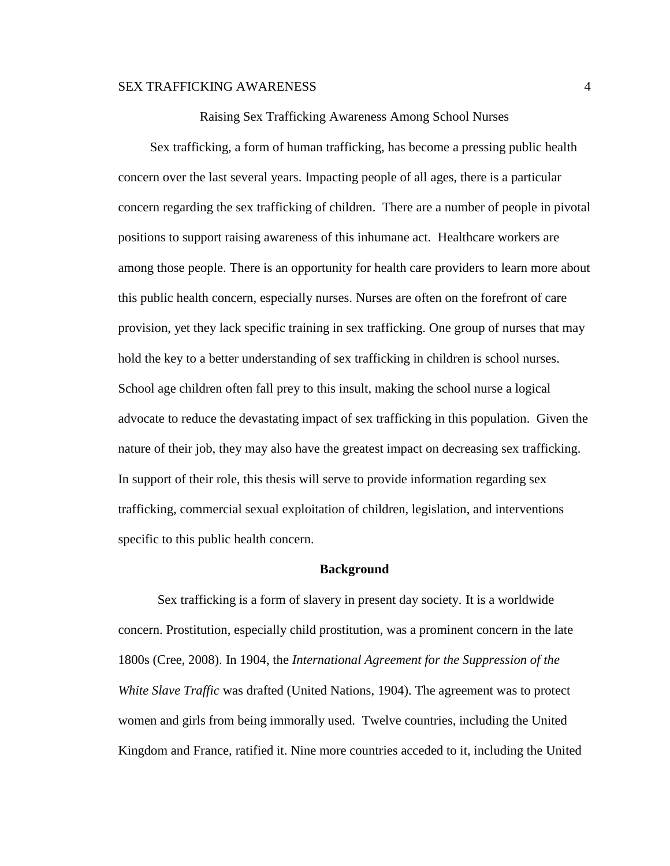Raising Sex Trafficking Awareness Among School Nurses

Sex trafficking, a form of human trafficking, has become a pressing public health concern over the last several years. Impacting people of all ages, there is a particular concern regarding the sex trafficking of children. There are a number of people in pivotal positions to support raising awareness of this inhumane act. Healthcare workers are among those people. There is an opportunity for health care providers to learn more about this public health concern, especially nurses. Nurses are often on the forefront of care provision, yet they lack specific training in sex trafficking. One group of nurses that may hold the key to a better understanding of sex trafficking in children is school nurses. School age children often fall prey to this insult, making the school nurse a logical advocate to reduce the devastating impact of sex trafficking in this population. Given the nature of their job, they may also have the greatest impact on decreasing sex trafficking. In support of their role, this thesis will serve to provide information regarding sex trafficking, commercial sexual exploitation of children, legislation, and interventions specific to this public health concern.

#### **Background**

Sex trafficking is a form of slavery in present day society. It is a worldwide concern. Prostitution, especially child prostitution, was a prominent concern in the late 1800s (Cree, 2008). In 1904, the *International Agreement for the Suppression of the White Slave Traffic* was drafted (United Nations, 1904). The agreement was to protect women and girls from being immorally used. Twelve countries, including the United Kingdom and France, ratified it. Nine more countries acceded to it, including the United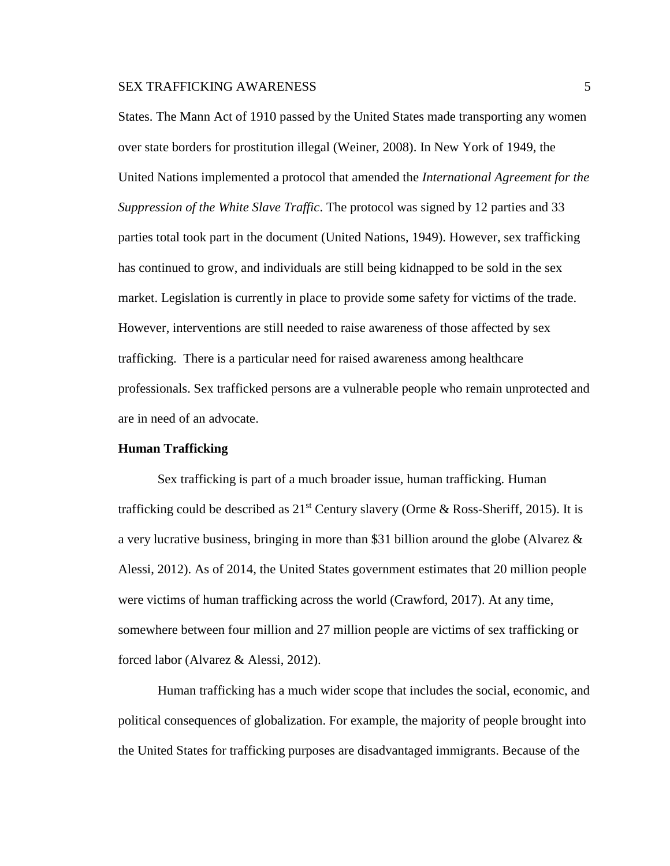States. The Mann Act of 1910 passed by the United States made transporting any women over state borders for prostitution illegal (Weiner, 2008). In New York of 1949, the United Nations implemented a protocol that amended the *International Agreement for the Suppression of the White Slave Traffic*. The protocol was signed by 12 parties and 33 parties total took part in the document (United Nations, 1949). However, sex trafficking has continued to grow, and individuals are still being kidnapped to be sold in the sex market. Legislation is currently in place to provide some safety for victims of the trade. However, interventions are still needed to raise awareness of those affected by sex trafficking. There is a particular need for raised awareness among healthcare professionals. Sex trafficked persons are a vulnerable people who remain unprotected and are in need of an advocate.

#### **Human Trafficking**

Sex trafficking is part of a much broader issue, human trafficking. Human trafficking could be described as  $21^{st}$  Century slavery (Orme & Ross-Sheriff, 2015). It is a very lucrative business, bringing in more than \$31 billion around the globe (Alvarez  $\&$ Alessi, 2012). As of 2014, the United States government estimates that 20 million people were victims of human trafficking across the world (Crawford, 2017). At any time, somewhere between four million and 27 million people are victims of sex trafficking or forced labor (Alvarez & Alessi, 2012).

Human trafficking has a much wider scope that includes the social, economic, and political consequences of globalization. For example, the majority of people brought into the United States for trafficking purposes are disadvantaged immigrants. Because of the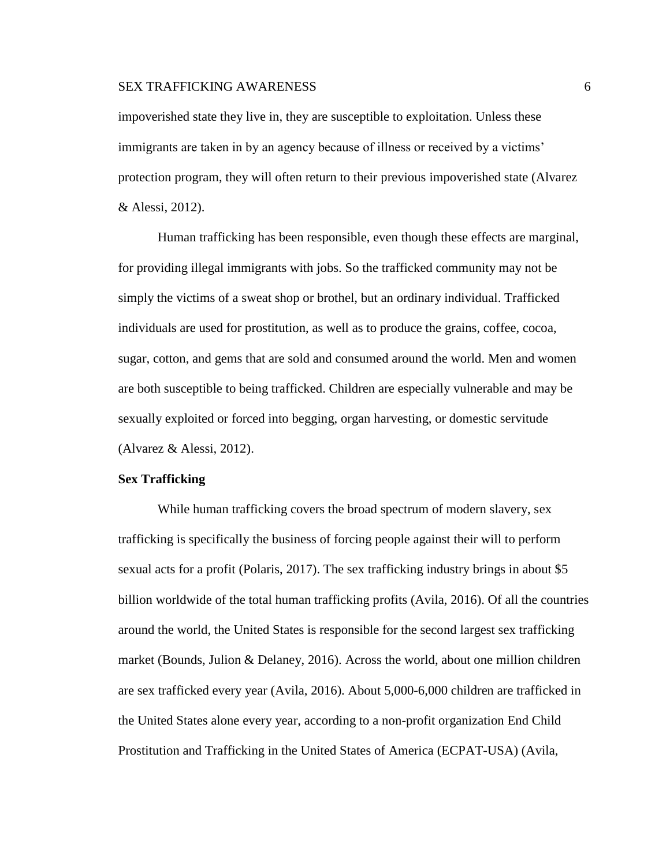impoverished state they live in, they are susceptible to exploitation. Unless these immigrants are taken in by an agency because of illness or received by a victims' protection program, they will often return to their previous impoverished state (Alvarez & Alessi, 2012).

Human trafficking has been responsible, even though these effects are marginal, for providing illegal immigrants with jobs. So the trafficked community may not be simply the victims of a sweat shop or brothel, but an ordinary individual. Trafficked individuals are used for prostitution, as well as to produce the grains, coffee, cocoa, sugar, cotton, and gems that are sold and consumed around the world. Men and women are both susceptible to being trafficked. Children are especially vulnerable and may be sexually exploited or forced into begging, organ harvesting, or domestic servitude (Alvarez & Alessi, 2012).

### **Sex Trafficking**

While human trafficking covers the broad spectrum of modern slavery, sex trafficking is specifically the business of forcing people against their will to perform sexual acts for a profit (Polaris, 2017). The sex trafficking industry brings in about \$5 billion worldwide of the total human trafficking profits (Avila, 2016). Of all the countries around the world, the United States is responsible for the second largest sex trafficking market (Bounds, Julion & Delaney, 2016). Across the world, about one million children are sex trafficked every year (Avila, 2016). About 5,000-6,000 children are trafficked in the United States alone every year, according to a non-profit organization End Child Prostitution and Trafficking in the United States of America (ECPAT-USA) (Avila,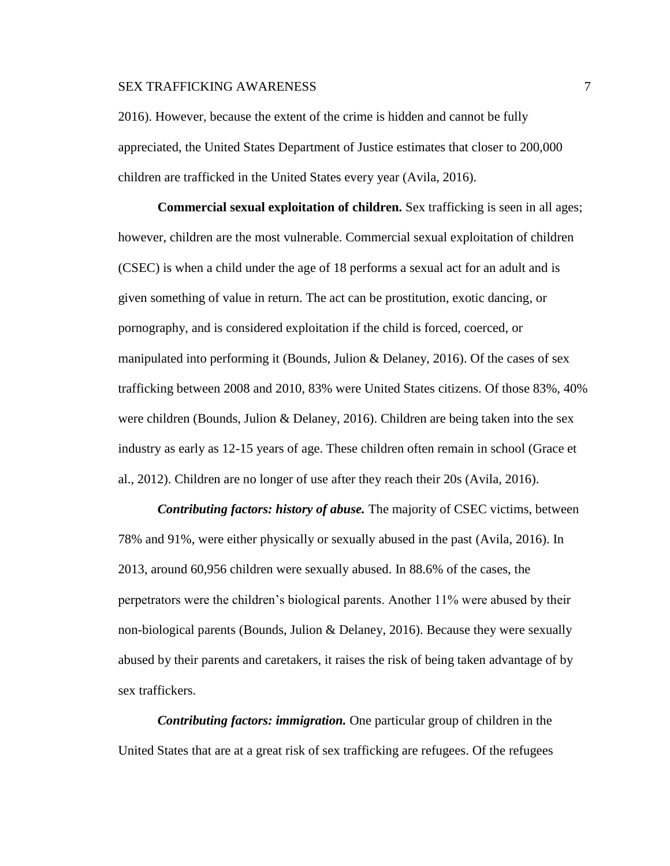2016). However, because the extent of the crime is hidden and cannot be fully appreciated, the United States Department of Justice estimates that closer to 200,000 children are trafficked in the United States every year (Avila, 2016).

**Commercial sexual exploitation of children.** Sex trafficking is seen in all ages; however, children are the most vulnerable. Commercial sexual exploitation of children (CSEC) is when a child under the age of 18 performs a sexual act for an adult and is given something of value in return. The act can be prostitution, exotic dancing, or pornography, and is considered exploitation if the child is forced, coerced, or manipulated into performing it (Bounds, Julion & Delaney, 2016). Of the cases of sex trafficking between 2008 and 2010, 83% were United States citizens. Of those 83%, 40% were children (Bounds, Julion & Delaney, 2016). Children are being taken into the sex industry as early as 12-15 years of age. These children often remain in school (Grace et al., 2012). Children are no longer of use after they reach their 20s (Avila, 2016).

*Contributing factors: history of abuse.* The majority of CSEC victims, between 78% and 91%, were either physically or sexually abused in the past (Avila, 2016). In 2013, around 60,956 children were sexually abused. In 88.6% of the cases, the perpetrators were the children's biological parents. Another 11% were abused by their non-biological parents (Bounds, Julion & Delaney, 2016). Because they were sexually abused by their parents and caretakers, it raises the risk of being taken advantage of by sex traffickers.

*Contributing factors: immigration.* One particular group of children in the United States that are at a great risk of sex trafficking are refugees. Of the refugees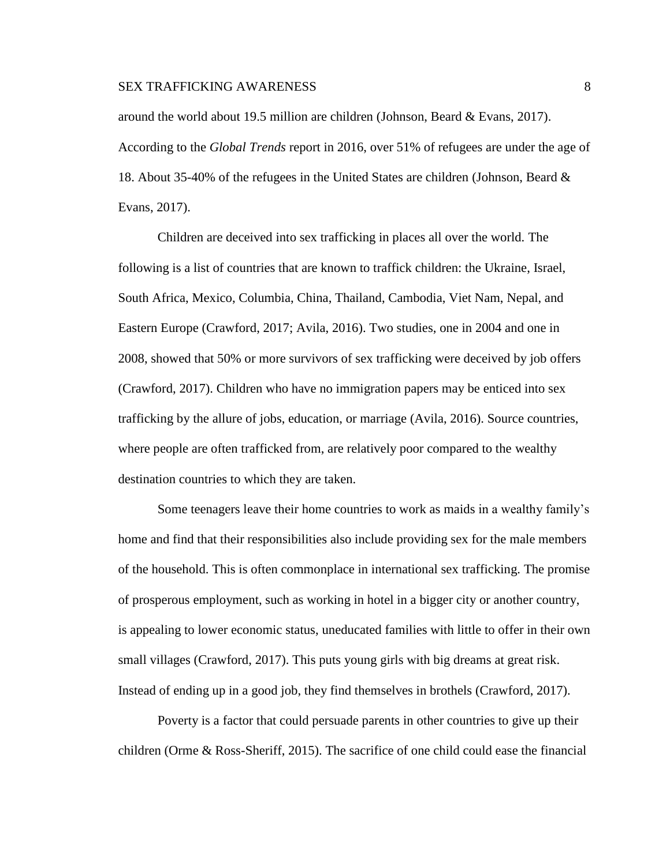around the world about 19.5 million are children (Johnson, Beard & Evans, 2017). According to the *Global Trends* report in 2016, over 51% of refugees are under the age of 18. About 35-40% of the refugees in the United States are children (Johnson, Beard & Evans, 2017).

Children are deceived into sex trafficking in places all over the world. The following is a list of countries that are known to traffick children: the Ukraine, Israel, South Africa, Mexico, Columbia, China, Thailand, Cambodia, Viet Nam, Nepal, and Eastern Europe (Crawford, 2017; Avila, 2016). Two studies, one in 2004 and one in 2008, showed that 50% or more survivors of sex trafficking were deceived by job offers (Crawford, 2017). Children who have no immigration papers may be enticed into sex trafficking by the allure of jobs, education, or marriage (Avila, 2016). Source countries, where people are often trafficked from, are relatively poor compared to the wealthy destination countries to which they are taken.

Some teenagers leave their home countries to work as maids in a wealthy family's home and find that their responsibilities also include providing sex for the male members of the household. This is often commonplace in international sex trafficking. The promise of prosperous employment, such as working in hotel in a bigger city or another country, is appealing to lower economic status, uneducated families with little to offer in their own small villages (Crawford, 2017). This puts young girls with big dreams at great risk. Instead of ending up in a good job, they find themselves in brothels (Crawford, 2017).

Poverty is a factor that could persuade parents in other countries to give up their children (Orme & Ross-Sheriff, 2015). The sacrifice of one child could ease the financial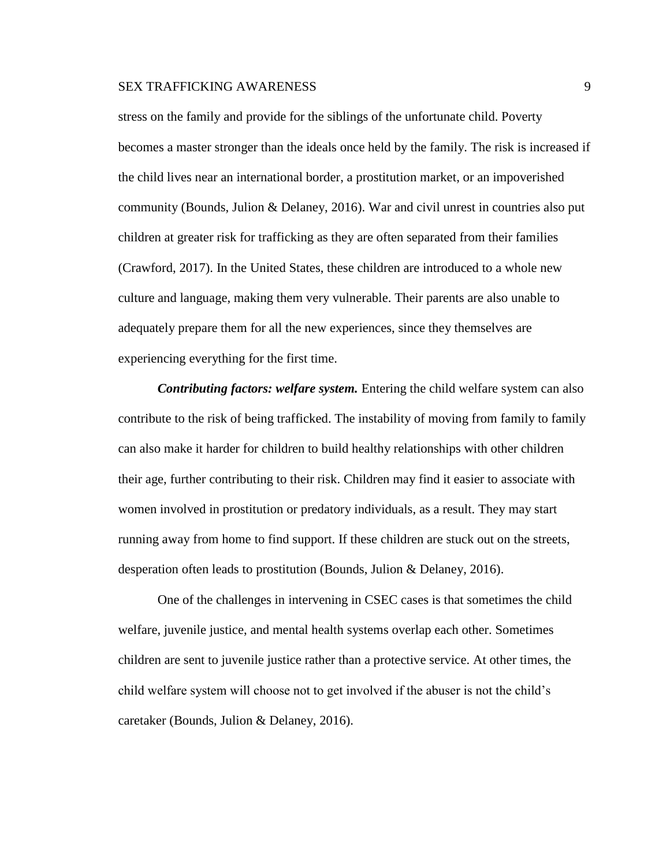stress on the family and provide for the siblings of the unfortunate child. Poverty becomes a master stronger than the ideals once held by the family. The risk is increased if the child lives near an international border, a prostitution market, or an impoverished community (Bounds, Julion & Delaney, 2016). War and civil unrest in countries also put children at greater risk for trafficking as they are often separated from their families (Crawford, 2017). In the United States, these children are introduced to a whole new culture and language, making them very vulnerable. Their parents are also unable to adequately prepare them for all the new experiences, since they themselves are experiencing everything for the first time.

*Contributing factors: welfare system.* Entering the child welfare system can also contribute to the risk of being trafficked. The instability of moving from family to family can also make it harder for children to build healthy relationships with other children their age, further contributing to their risk. Children may find it easier to associate with women involved in prostitution or predatory individuals, as a result. They may start running away from home to find support. If these children are stuck out on the streets, desperation often leads to prostitution (Bounds, Julion & Delaney, 2016).

One of the challenges in intervening in CSEC cases is that sometimes the child welfare, juvenile justice, and mental health systems overlap each other. Sometimes children are sent to juvenile justice rather than a protective service. At other times, the child welfare system will choose not to get involved if the abuser is not the child's caretaker (Bounds, Julion & Delaney, 2016).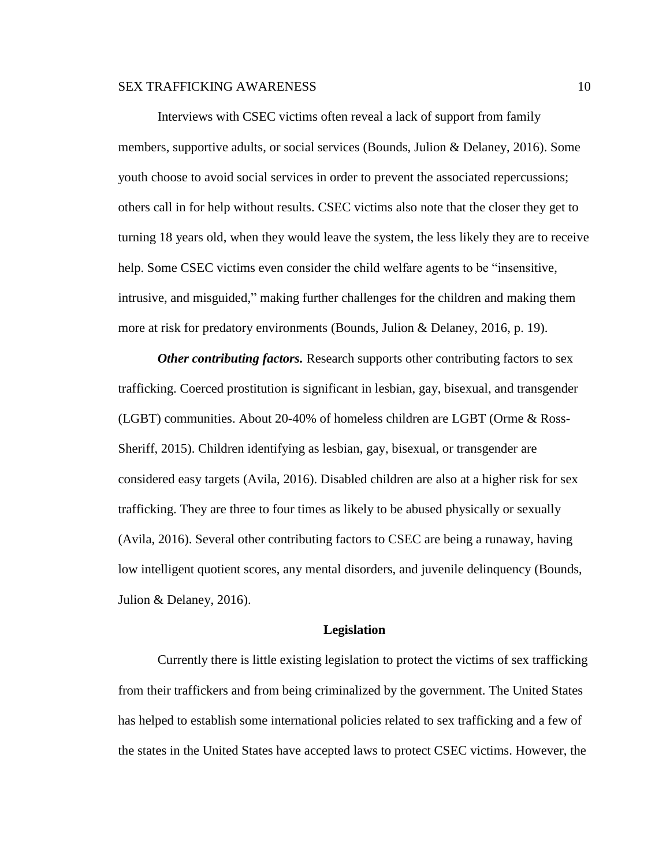Interviews with CSEC victims often reveal a lack of support from family members, supportive adults, or social services (Bounds, Julion & Delaney, 2016). Some youth choose to avoid social services in order to prevent the associated repercussions; others call in for help without results. CSEC victims also note that the closer they get to turning 18 years old, when they would leave the system, the less likely they are to receive help. Some CSEC victims even consider the child welfare agents to be "insensitive, intrusive, and misguided," making further challenges for the children and making them more at risk for predatory environments (Bounds, Julion & Delaney, 2016, p. 19).

*Other contributing factors.* Research supports other contributing factors to sex trafficking. Coerced prostitution is significant in lesbian, gay, bisexual, and transgender (LGBT) communities. About 20-40% of homeless children are LGBT (Orme & Ross-Sheriff, 2015). Children identifying as lesbian, gay, bisexual, or transgender are considered easy targets (Avila, 2016). Disabled children are also at a higher risk for sex trafficking. They are three to four times as likely to be abused physically or sexually (Avila, 2016). Several other contributing factors to CSEC are being a runaway, having low intelligent quotient scores, any mental disorders, and juvenile delinquency (Bounds, Julion & Delaney, 2016).

#### **Legislation**

Currently there is little existing legislation to protect the victims of sex trafficking from their traffickers and from being criminalized by the government. The United States has helped to establish some international policies related to sex trafficking and a few of the states in the United States have accepted laws to protect CSEC victims. However, the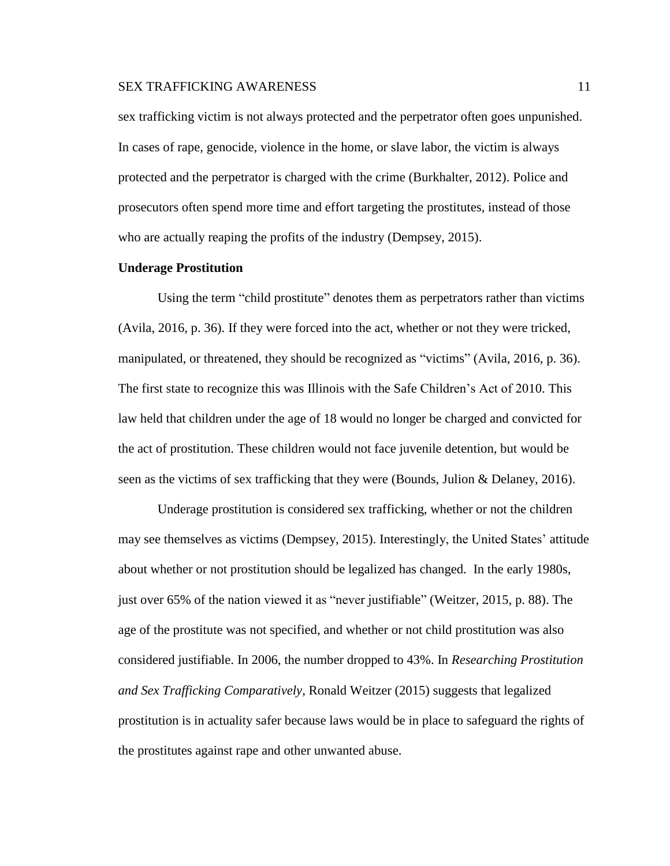sex trafficking victim is not always protected and the perpetrator often goes unpunished. In cases of rape, genocide, violence in the home, or slave labor, the victim is always protected and the perpetrator is charged with the crime (Burkhalter, 2012). Police and prosecutors often spend more time and effort targeting the prostitutes, instead of those who are actually reaping the profits of the industry (Dempsey, 2015).

#### **Underage Prostitution**

Using the term "child prostitute" denotes them as perpetrators rather than victims (Avila, 2016, p. 36). If they were forced into the act, whether or not they were tricked, manipulated, or threatened, they should be recognized as "victims" (Avila, 2016, p. 36). The first state to recognize this was Illinois with the Safe Children's Act of 2010. This law held that children under the age of 18 would no longer be charged and convicted for the act of prostitution. These children would not face juvenile detention, but would be seen as the victims of sex trafficking that they were (Bounds, Julion & Delaney, 2016).

Underage prostitution is considered sex trafficking, whether or not the children may see themselves as victims (Dempsey, 2015). Interestingly, the United States' attitude about whether or not prostitution should be legalized has changed. In the early 1980s, just over 65% of the nation viewed it as "never justifiable" (Weitzer, 2015, p. 88). The age of the prostitute was not specified, and whether or not child prostitution was also considered justifiable. In 2006, the number dropped to 43%. In *Researching Prostitution and Sex Trafficking Comparatively*, Ronald Weitzer (2015) suggests that legalized prostitution is in actuality safer because laws would be in place to safeguard the rights of the prostitutes against rape and other unwanted abuse.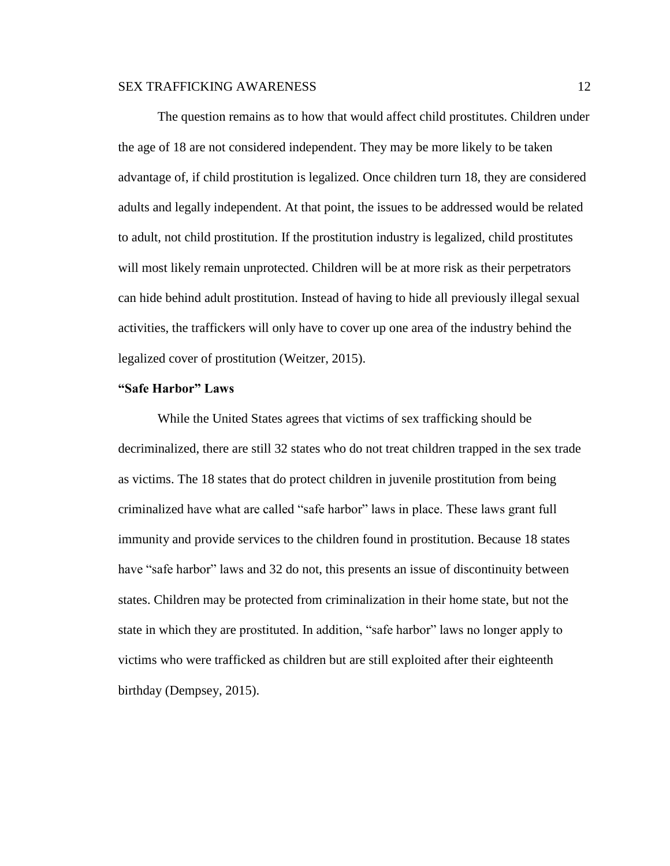The question remains as to how that would affect child prostitutes. Children under the age of 18 are not considered independent. They may be more likely to be taken advantage of, if child prostitution is legalized. Once children turn 18, they are considered adults and legally independent. At that point, the issues to be addressed would be related to adult, not child prostitution. If the prostitution industry is legalized, child prostitutes will most likely remain unprotected. Children will be at more risk as their perpetrators can hide behind adult prostitution. Instead of having to hide all previously illegal sexual activities, the traffickers will only have to cover up one area of the industry behind the legalized cover of prostitution (Weitzer, 2015).

#### **"Safe Harbor" Laws**

While the United States agrees that victims of sex trafficking should be decriminalized, there are still 32 states who do not treat children trapped in the sex trade as victims. The 18 states that do protect children in juvenile prostitution from being criminalized have what are called "safe harbor" laws in place. These laws grant full immunity and provide services to the children found in prostitution. Because 18 states have "safe harbor" laws and 32 do not, this presents an issue of discontinuity between states. Children may be protected from criminalization in their home state, but not the state in which they are prostituted. In addition, "safe harbor" laws no longer apply to victims who were trafficked as children but are still exploited after their eighteenth birthday (Dempsey, 2015).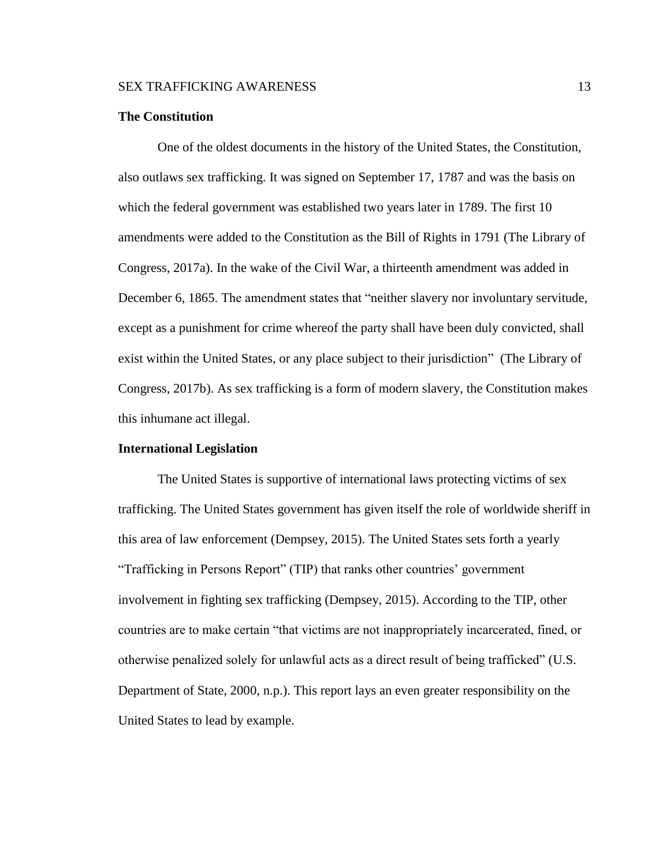#### **The Constitution**

One of the oldest documents in the history of the United States, the Constitution, also outlaws sex trafficking. It was signed on September 17, 1787 and was the basis on which the federal government was established two years later in 1789. The first 10 amendments were added to the Constitution as the Bill of Rights in 1791 (The Library of Congress, 2017a). In the wake of the Civil War, a thirteenth amendment was added in December 6, 1865. The amendment states that "neither slavery nor involuntary servitude, except as a punishment for crime whereof the party shall have been duly convicted, shall exist within the United States, or any place subject to their jurisdiction" (The Library of Congress, 2017b). As sex trafficking is a form of modern slavery, the Constitution makes this inhumane act illegal.

#### **International Legislation**

The United States is supportive of international laws protecting victims of sex trafficking. The United States government has given itself the role of worldwide sheriff in this area of law enforcement (Dempsey, 2015). The United States sets forth a yearly "Trafficking in Persons Report" (TIP) that ranks other countries' government involvement in fighting sex trafficking (Dempsey, 2015). According to the TIP, other countries are to make certain "that victims are not inappropriately incarcerated, fined, or otherwise penalized solely for unlawful acts as a direct result of being trafficked" (U.S. Department of State, 2000, n.p.). This report lays an even greater responsibility on the United States to lead by example.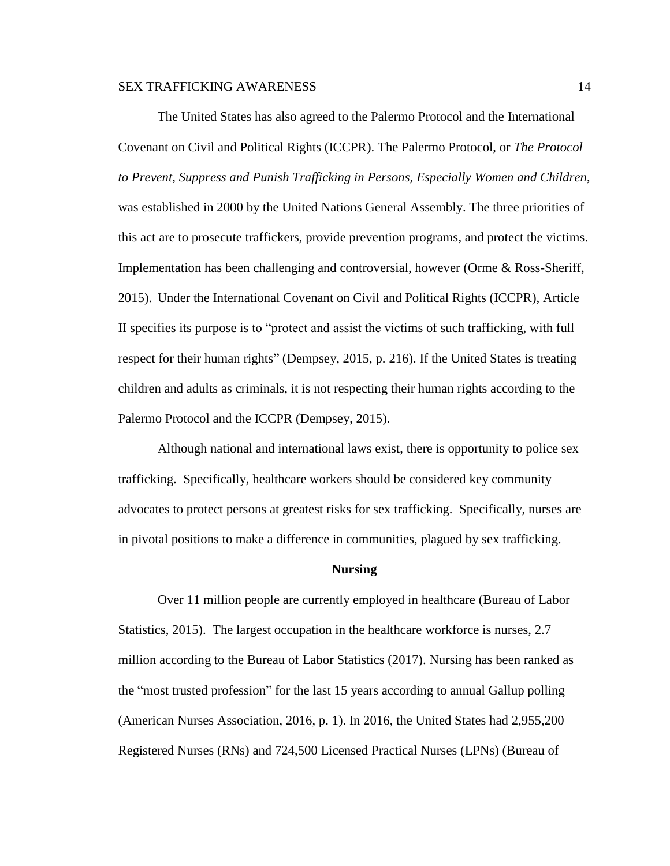The United States has also agreed to the Palermo Protocol and the International Covenant on Civil and Political Rights (ICCPR). The Palermo Protocol, or *The Protocol to Prevent, Suppress and Punish Trafficking in Persons, Especially Women and Children*, was established in 2000 by the United Nations General Assembly. The three priorities of this act are to prosecute traffickers, provide prevention programs, and protect the victims. Implementation has been challenging and controversial, however (Orme & Ross-Sheriff, 2015). Under the International Covenant on Civil and Political Rights (ICCPR), Article II specifies its purpose is to "protect and assist the victims of such trafficking, with full respect for their human rights" (Dempsey, 2015, p. 216). If the United States is treating children and adults as criminals, it is not respecting their human rights according to the Palermo Protocol and the ICCPR (Dempsey, 2015).

Although national and international laws exist, there is opportunity to police sex trafficking. Specifically, healthcare workers should be considered key community advocates to protect persons at greatest risks for sex trafficking. Specifically, nurses are in pivotal positions to make a difference in communities, plagued by sex trafficking.

#### **Nursing**

Over 11 million people are currently employed in healthcare (Bureau of Labor Statistics, 2015). The largest occupation in the healthcare workforce is nurses, 2.7 million according to the Bureau of Labor Statistics (2017). Nursing has been ranked as the "most trusted profession" for the last 15 years according to annual Gallup polling (American Nurses Association, 2016, p. 1). In 2016, the United States had 2,955,200 Registered Nurses (RNs) and 724,500 Licensed Practical Nurses (LPNs) (Bureau of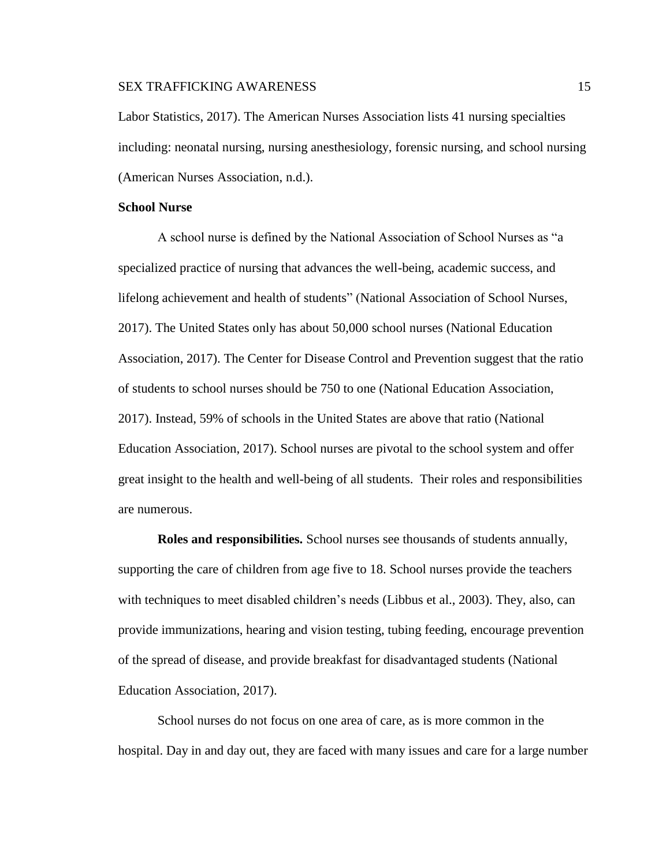Labor Statistics, 2017). The American Nurses Association lists 41 nursing specialties including: neonatal nursing, nursing anesthesiology, forensic nursing, and school nursing (American Nurses Association, n.d.).

### **School Nurse**

A school nurse is defined by the National Association of School Nurses as "a specialized practice of nursing that advances the well-being, academic success, and lifelong achievement and health of students" (National Association of School Nurses, 2017). The United States only has about 50,000 school nurses (National Education Association, 2017). The Center for Disease Control and Prevention suggest that the ratio of students to school nurses should be 750 to one (National Education Association, 2017). Instead, 59% of schools in the United States are above that ratio (National Education Association, 2017). School nurses are pivotal to the school system and offer great insight to the health and well-being of all students. Their roles and responsibilities are numerous.

**Roles and responsibilities.** School nurses see thousands of students annually, supporting the care of children from age five to 18. School nurses provide the teachers with techniques to meet disabled children's needs (Libbus et al., 2003). They, also, can provide immunizations, hearing and vision testing, tubing feeding, encourage prevention of the spread of disease, and provide breakfast for disadvantaged students (National Education Association, 2017).

School nurses do not focus on one area of care, as is more common in the hospital. Day in and day out, they are faced with many issues and care for a large number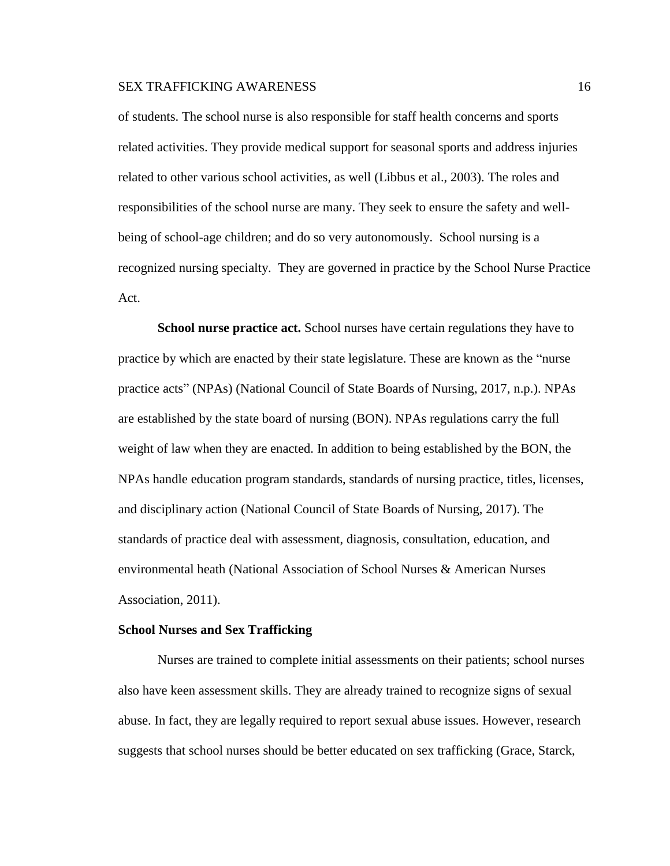of students. The school nurse is also responsible for staff health concerns and sports related activities. They provide medical support for seasonal sports and address injuries related to other various school activities, as well (Libbus et al., 2003). The roles and responsibilities of the school nurse are many. They seek to ensure the safety and wellbeing of school-age children; and do so very autonomously. School nursing is a recognized nursing specialty. They are governed in practice by the School Nurse Practice Act.

**School nurse practice act.** School nurses have certain regulations they have to practice by which are enacted by their state legislature. These are known as the "nurse practice acts" (NPAs) (National Council of State Boards of Nursing, 2017, n.p.). NPAs are established by the state board of nursing (BON). NPAs regulations carry the full weight of law when they are enacted. In addition to being established by the BON, the NPAs handle education program standards, standards of nursing practice, titles, licenses, and disciplinary action (National Council of State Boards of Nursing, 2017). The standards of practice deal with assessment, diagnosis, consultation, education, and environmental heath (National Association of School Nurses & American Nurses Association, 2011).

#### **School Nurses and Sex Trafficking**

Nurses are trained to complete initial assessments on their patients; school nurses also have keen assessment skills. They are already trained to recognize signs of sexual abuse. In fact, they are legally required to report sexual abuse issues. However, research suggests that school nurses should be better educated on sex trafficking (Grace, Starck,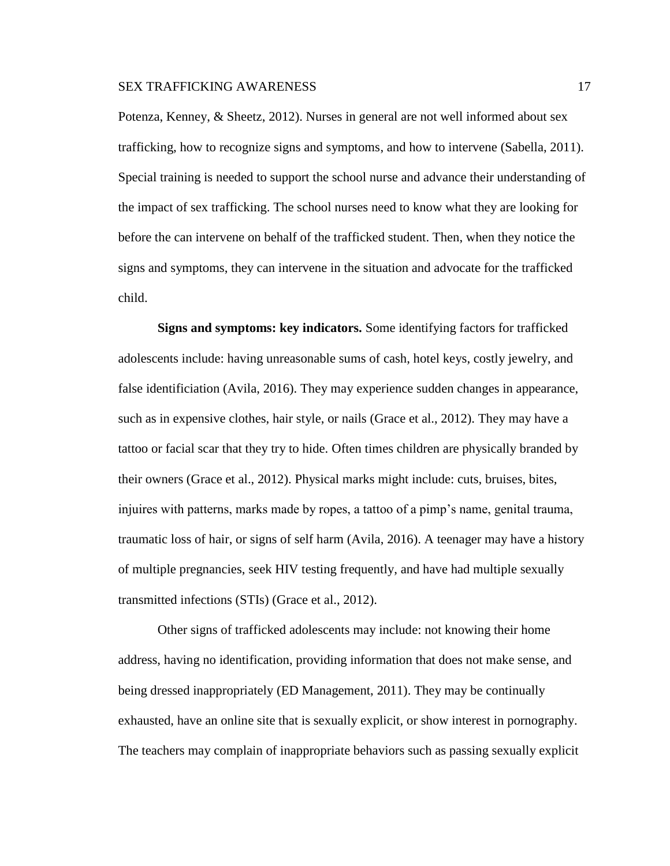Potenza, Kenney, & Sheetz, 2012). Nurses in general are not well informed about sex trafficking, how to recognize signs and symptoms, and how to intervene (Sabella, 2011). Special training is needed to support the school nurse and advance their understanding of the impact of sex trafficking. The school nurses need to know what they are looking for before the can intervene on behalf of the trafficked student. Then, when they notice the signs and symptoms, they can intervene in the situation and advocate for the trafficked child.

**Signs and symptoms: key indicators.** Some identifying factors for trafficked adolescents include: having unreasonable sums of cash, hotel keys, costly jewelry, and false identificiation (Avila, 2016). They may experience sudden changes in appearance, such as in expensive clothes, hair style, or nails (Grace et al., 2012). They may have a tattoo or facial scar that they try to hide. Often times children are physically branded by their owners (Grace et al., 2012). Physical marks might include: cuts, bruises, bites, injuires with patterns, marks made by ropes, a tattoo of a pimp's name, genital trauma, traumatic loss of hair, or signs of self harm (Avila, 2016). A teenager may have a history of multiple pregnancies, seek HIV testing frequently, and have had multiple sexually transmitted infections (STIs) (Grace et al., 2012).

Other signs of trafficked adolescents may include: not knowing their home address, having no identification, providing information that does not make sense, and being dressed inappropriately (ED Management, 2011). They may be continually exhausted, have an online site that is sexually explicit, or show interest in pornography. The teachers may complain of inappropriate behaviors such as passing sexually explicit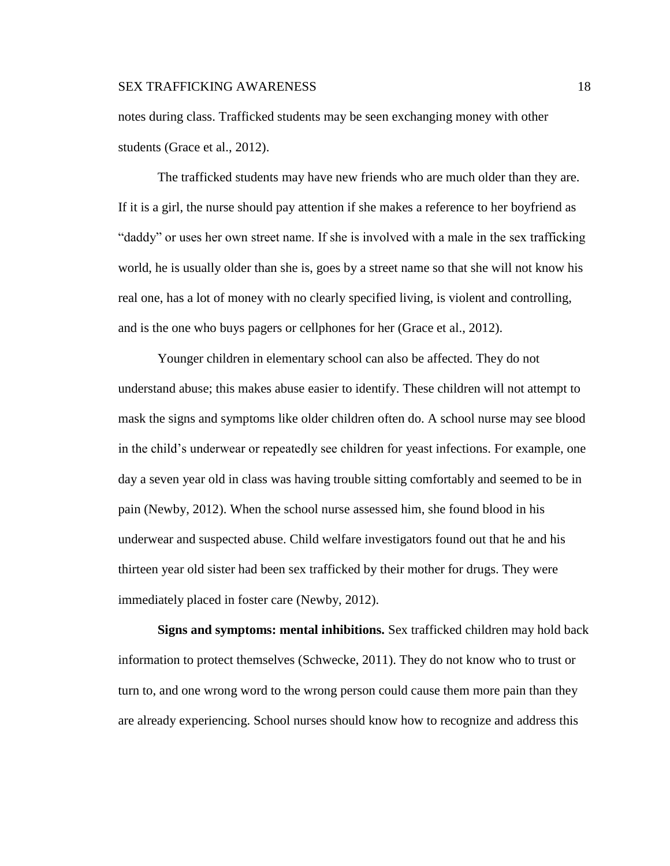notes during class. Trafficked students may be seen exchanging money with other students (Grace et al., 2012).

The trafficked students may have new friends who are much older than they are. If it is a girl, the nurse should pay attention if she makes a reference to her boyfriend as "daddy" or uses her own street name. If she is involved with a male in the sex trafficking world, he is usually older than she is, goes by a street name so that she will not know his real one, has a lot of money with no clearly specified living, is violent and controlling, and is the one who buys pagers or cellphones for her (Grace et al., 2012).

Younger children in elementary school can also be affected. They do not understand abuse; this makes abuse easier to identify. These children will not attempt to mask the signs and symptoms like older children often do. A school nurse may see blood in the child's underwear or repeatedly see children for yeast infections. For example, one day a seven year old in class was having trouble sitting comfortably and seemed to be in pain (Newby, 2012). When the school nurse assessed him, she found blood in his underwear and suspected abuse. Child welfare investigators found out that he and his thirteen year old sister had been sex trafficked by their mother for drugs. They were immediately placed in foster care (Newby, 2012).

**Signs and symptoms: mental inhibitions.** Sex trafficked children may hold back information to protect themselves (Schwecke, 2011). They do not know who to trust or turn to, and one wrong word to the wrong person could cause them more pain than they are already experiencing. School nurses should know how to recognize and address this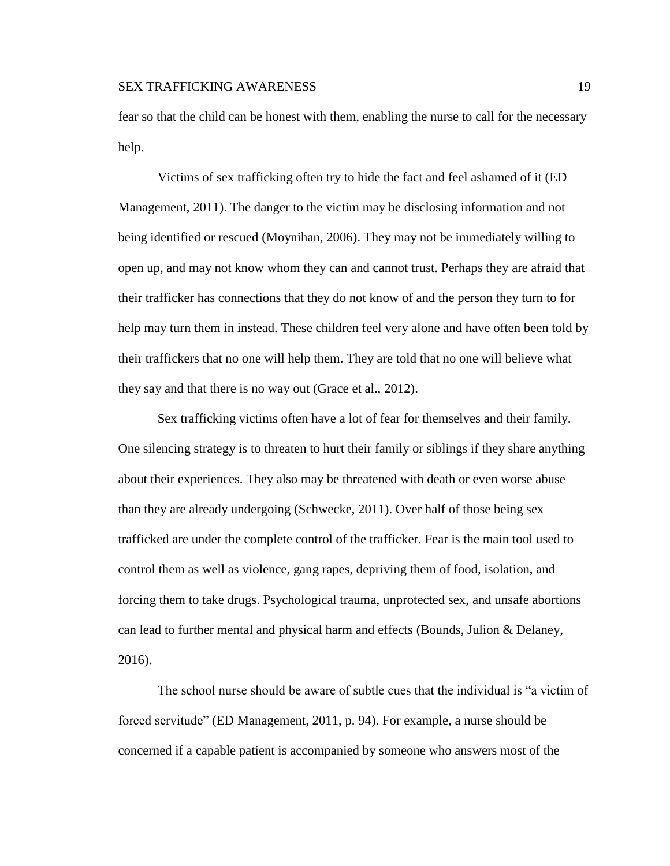fear so that the child can be honest with them, enabling the nurse to call for the necessary help.

Victims of sex trafficking often try to hide the fact and feel ashamed of it (ED Management, 2011). The danger to the victim may be disclosing information and not being identified or rescued (Moynihan, 2006). They may not be immediately willing to open up, and may not know whom they can and cannot trust. Perhaps they are afraid that their trafficker has connections that they do not know of and the person they turn to for help may turn them in instead. These children feel very alone and have often been told by their traffickers that no one will help them. They are told that no one will believe what they say and that there is no way out (Grace et al., 2012).

Sex trafficking victims often have a lot of fear for themselves and their family. One silencing strategy is to threaten to hurt their family or siblings if they share anything about their experiences. They also may be threatened with death or even worse abuse than they are already undergoing (Schwecke, 2011). Over half of those being sex trafficked are under the complete control of the trafficker. Fear is the main tool used to control them as well as violence, gang rapes, depriving them of food, isolation, and forcing them to take drugs. Psychological trauma, unprotected sex, and unsafe abortions can lead to further mental and physical harm and effects (Bounds, Julion & Delaney, 2016).

The school nurse should be aware of subtle cues that the individual is "a victim of forced servitude" (ED Management, 2011, p. 94). For example, a nurse should be concerned if a capable patient is accompanied by someone who answers most of the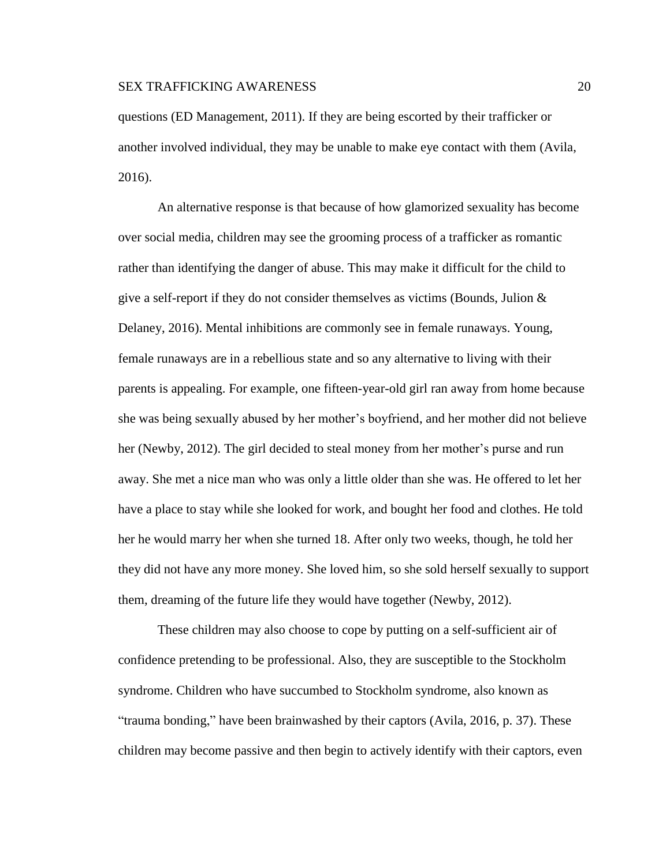questions (ED Management, 2011). If they are being escorted by their trafficker or another involved individual, they may be unable to make eye contact with them (Avila, 2016).

An alternative response is that because of how glamorized sexuality has become over social media, children may see the grooming process of a trafficker as romantic rather than identifying the danger of abuse. This may make it difficult for the child to give a self-report if they do not consider themselves as victims (Bounds, Julion & Delaney, 2016). Mental inhibitions are commonly see in female runaways. Young, female runaways are in a rebellious state and so any alternative to living with their parents is appealing. For example, one fifteen-year-old girl ran away from home because she was being sexually abused by her mother's boyfriend, and her mother did not believe her (Newby, 2012). The girl decided to steal money from her mother's purse and run away. She met a nice man who was only a little older than she was. He offered to let her have a place to stay while she looked for work, and bought her food and clothes. He told her he would marry her when she turned 18. After only two weeks, though, he told her they did not have any more money. She loved him, so she sold herself sexually to support them, dreaming of the future life they would have together (Newby, 2012).

These children may also choose to cope by putting on a self-sufficient air of confidence pretending to be professional. Also, they are susceptible to the Stockholm syndrome. Children who have succumbed to Stockholm syndrome, also known as "trauma bonding," have been brainwashed by their captors (Avila, 2016, p. 37). These children may become passive and then begin to actively identify with their captors, even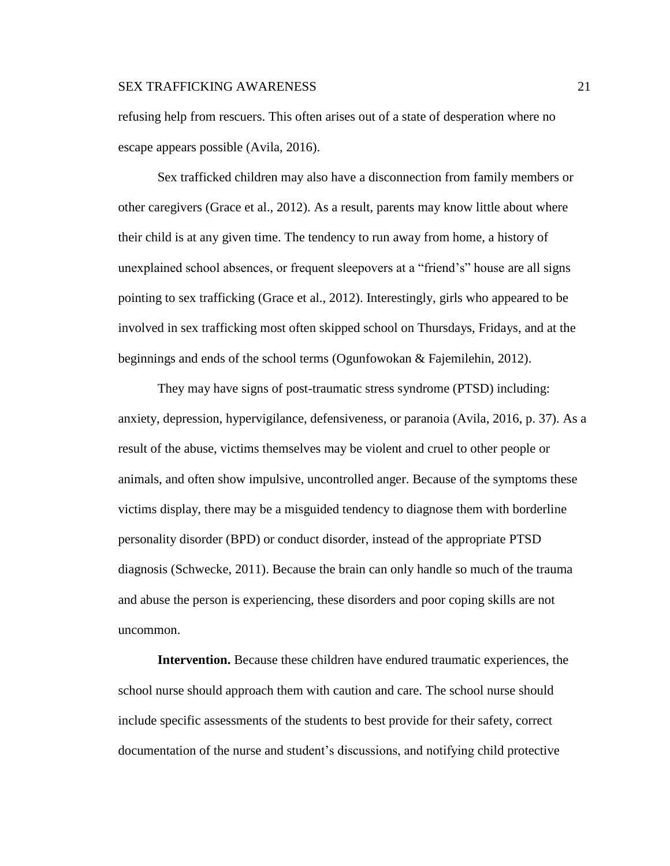refusing help from rescuers. This often arises out of a state of desperation where no escape appears possible (Avila, 2016).

Sex trafficked children may also have a disconnection from family members or other caregivers (Grace et al., 2012). As a result, parents may know little about where their child is at any given time. The tendency to run away from home, a history of unexplained school absences, or frequent sleepovers at a "friend's" house are all signs pointing to sex trafficking (Grace et al., 2012). Interestingly, girls who appeared to be involved in sex trafficking most often skipped school on Thursdays, Fridays, and at the beginnings and ends of the school terms (Ogunfowokan & Fajemilehin, 2012).

They may have signs of post-traumatic stress syndrome (PTSD) including: anxiety, depression, hypervigilance, defensiveness, or paranoia (Avila, 2016, p. 37). As a result of the abuse, victims themselves may be violent and cruel to other people or animals, and often show impulsive, uncontrolled anger. Because of the symptoms these victims display, there may be a misguided tendency to diagnose them with borderline personality disorder (BPD) or conduct disorder, instead of the appropriate PTSD diagnosis (Schwecke, 2011). Because the brain can only handle so much of the trauma and abuse the person is experiencing, these disorders and poor coping skills are not uncommon.

**Intervention.** Because these children have endured traumatic experiences, the school nurse should approach them with caution and care. The school nurse should include specific assessments of the students to best provide for their safety, correct documentation of the nurse and student's discussions, and notifying child protective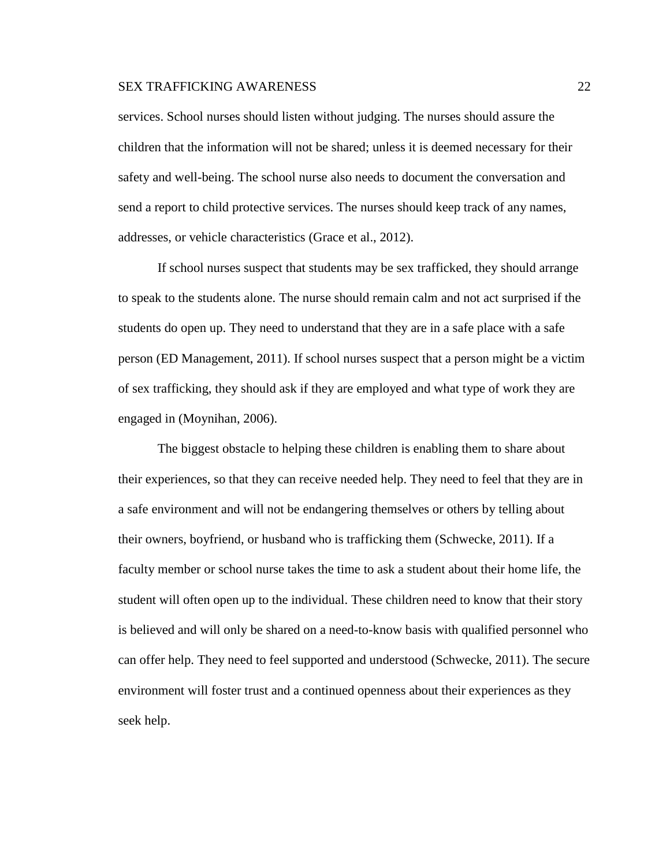services. School nurses should listen without judging. The nurses should assure the children that the information will not be shared; unless it is deemed necessary for their safety and well-being. The school nurse also needs to document the conversation and send a report to child protective services. The nurses should keep track of any names, addresses, or vehicle characteristics (Grace et al., 2012).

If school nurses suspect that students may be sex trafficked, they should arrange to speak to the students alone. The nurse should remain calm and not act surprised if the students do open up. They need to understand that they are in a safe place with a safe person (ED Management, 2011). If school nurses suspect that a person might be a victim of sex trafficking, they should ask if they are employed and what type of work they are engaged in (Moynihan, 2006).

The biggest obstacle to helping these children is enabling them to share about their experiences, so that they can receive needed help. They need to feel that they are in a safe environment and will not be endangering themselves or others by telling about their owners, boyfriend, or husband who is trafficking them (Schwecke, 2011). If a faculty member or school nurse takes the time to ask a student about their home life, the student will often open up to the individual. These children need to know that their story is believed and will only be shared on a need-to-know basis with qualified personnel who can offer help. They need to feel supported and understood (Schwecke, 2011). The secure environment will foster trust and a continued openness about their experiences as they seek help.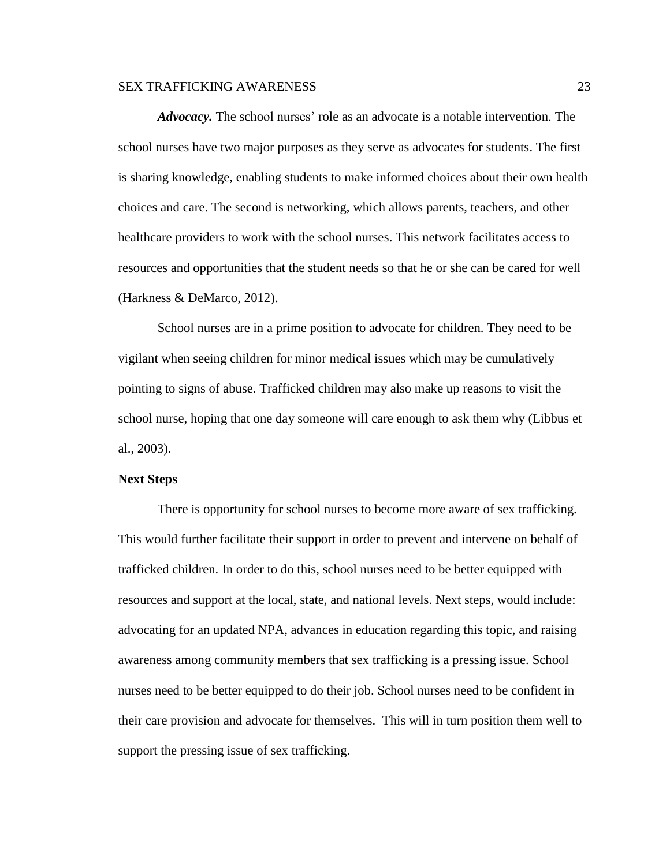*Advocacy.* The school nurses' role as an advocate is a notable intervention. The school nurses have two major purposes as they serve as advocates for students. The first is sharing knowledge, enabling students to make informed choices about their own health choices and care. The second is networking, which allows parents, teachers, and other healthcare providers to work with the school nurses. This network facilitates access to resources and opportunities that the student needs so that he or she can be cared for well (Harkness & DeMarco, 2012).

School nurses are in a prime position to advocate for children. They need to be vigilant when seeing children for minor medical issues which may be cumulatively pointing to signs of abuse. Trafficked children may also make up reasons to visit the school nurse, hoping that one day someone will care enough to ask them why (Libbus et al., 2003).

#### **Next Steps**

There is opportunity for school nurses to become more aware of sex trafficking. This would further facilitate their support in order to prevent and intervene on behalf of trafficked children. In order to do this, school nurses need to be better equipped with resources and support at the local, state, and national levels. Next steps, would include: advocating for an updated NPA, advances in education regarding this topic, and raising awareness among community members that sex trafficking is a pressing issue. School nurses need to be better equipped to do their job. School nurses need to be confident in their care provision and advocate for themselves. This will in turn position them well to support the pressing issue of sex trafficking.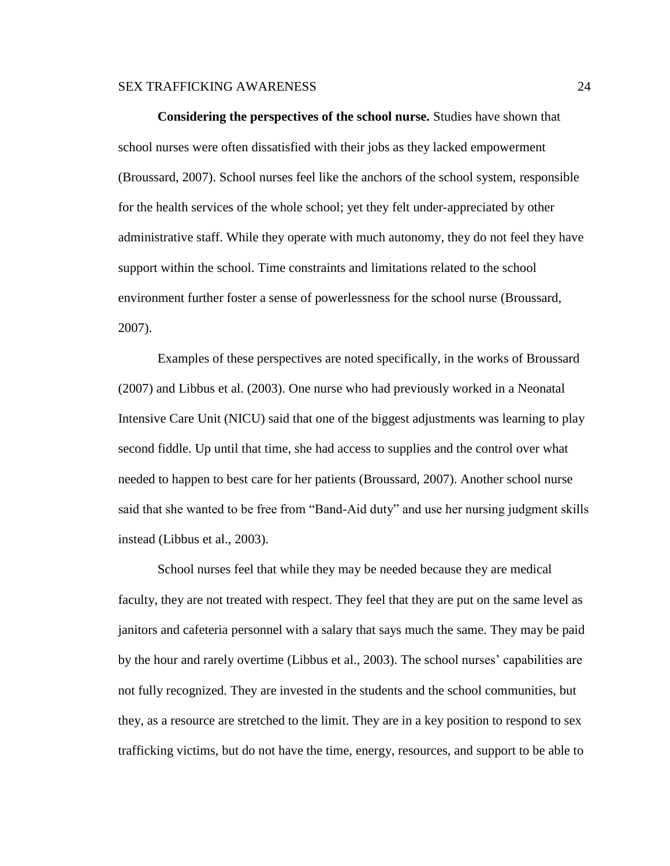**Considering the perspectives of the school nurse.** Studies have shown that school nurses were often dissatisfied with their jobs as they lacked empowerment (Broussard, 2007). School nurses feel like the anchors of the school system, responsible for the health services of the whole school; yet they felt under-appreciated by other administrative staff. While they operate with much autonomy, they do not feel they have support within the school. Time constraints and limitations related to the school environment further foster a sense of powerlessness for the school nurse (Broussard, 2007).

Examples of these perspectives are noted specifically, in the works of Broussard (2007) and Libbus et al. (2003). One nurse who had previously worked in a Neonatal Intensive Care Unit (NICU) said that one of the biggest adjustments was learning to play second fiddle. Up until that time, she had access to supplies and the control over what needed to happen to best care for her patients (Broussard, 2007). Another school nurse said that she wanted to be free from "Band-Aid duty" and use her nursing judgment skills instead (Libbus et al., 2003).

School nurses feel that while they may be needed because they are medical faculty, they are not treated with respect. They feel that they are put on the same level as janitors and cafeteria personnel with a salary that says much the same. They may be paid by the hour and rarely overtime (Libbus et al., 2003). The school nurses' capabilities are not fully recognized. They are invested in the students and the school communities, but they, as a resource are stretched to the limit. They are in a key position to respond to sex trafficking victims, but do not have the time, energy, resources, and support to be able to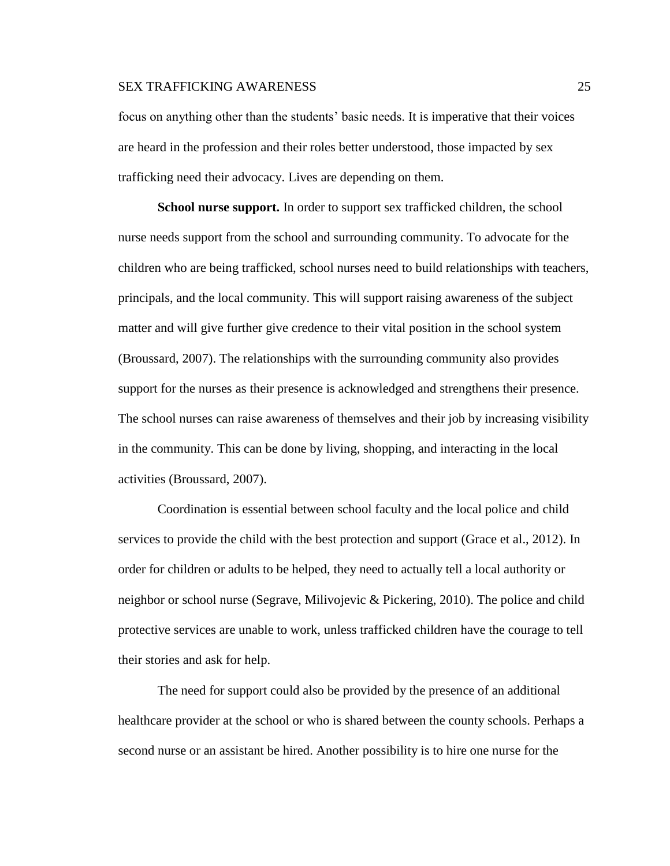focus on anything other than the students' basic needs. It is imperative that their voices are heard in the profession and their roles better understood, those impacted by sex trafficking need their advocacy. Lives are depending on them.

**School nurse support.** In order to support sex trafficked children, the school nurse needs support from the school and surrounding community. To advocate for the children who are being trafficked, school nurses need to build relationships with teachers, principals, and the local community. This will support raising awareness of the subject matter and will give further give credence to their vital position in the school system (Broussard, 2007). The relationships with the surrounding community also provides support for the nurses as their presence is acknowledged and strengthens their presence. The school nurses can raise awareness of themselves and their job by increasing visibility in the community. This can be done by living, shopping, and interacting in the local activities (Broussard, 2007).

Coordination is essential between school faculty and the local police and child services to provide the child with the best protection and support (Grace et al., 2012). In order for children or adults to be helped, they need to actually tell a local authority or neighbor or school nurse (Segrave, Milivojevic & Pickering, 2010). The police and child protective services are unable to work, unless trafficked children have the courage to tell their stories and ask for help.

The need for support could also be provided by the presence of an additional healthcare provider at the school or who is shared between the county schools. Perhaps a second nurse or an assistant be hired. Another possibility is to hire one nurse for the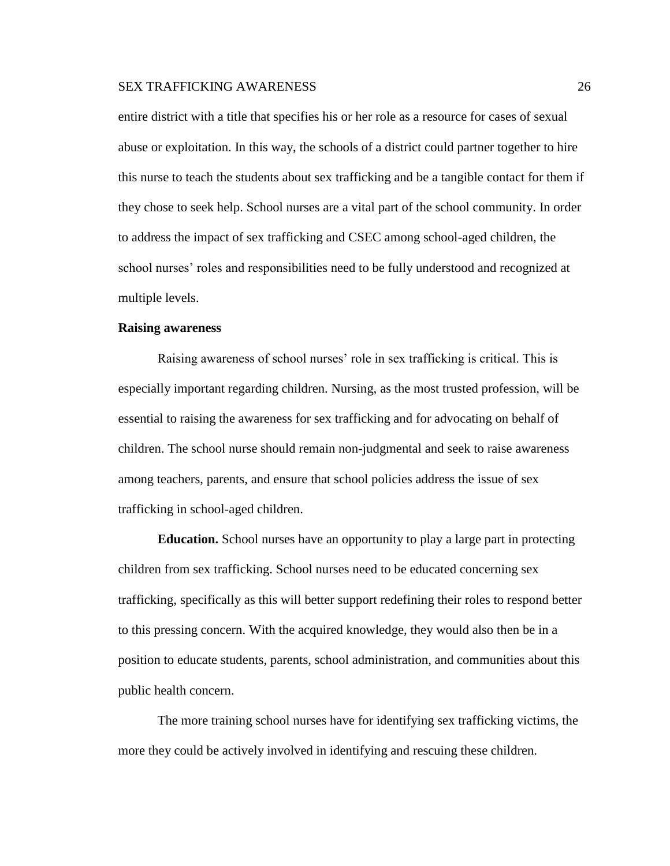entire district with a title that specifies his or her role as a resource for cases of sexual abuse or exploitation. In this way, the schools of a district could partner together to hire this nurse to teach the students about sex trafficking and be a tangible contact for them if they chose to seek help. School nurses are a vital part of the school community. In order to address the impact of sex trafficking and CSEC among school-aged children, the school nurses' roles and responsibilities need to be fully understood and recognized at multiple levels.

#### **Raising awareness**

Raising awareness of school nurses' role in sex trafficking is critical. This is especially important regarding children. Nursing, as the most trusted profession, will be essential to raising the awareness for sex trafficking and for advocating on behalf of children. The school nurse should remain non-judgmental and seek to raise awareness among teachers, parents, and ensure that school policies address the issue of sex trafficking in school-aged children.

**Education.** School nurses have an opportunity to play a large part in protecting children from sex trafficking. School nurses need to be educated concerning sex trafficking, specifically as this will better support redefining their roles to respond better to this pressing concern. With the acquired knowledge, they would also then be in a position to educate students, parents, school administration, and communities about this public health concern.

The more training school nurses have for identifying sex trafficking victims, the more they could be actively involved in identifying and rescuing these children.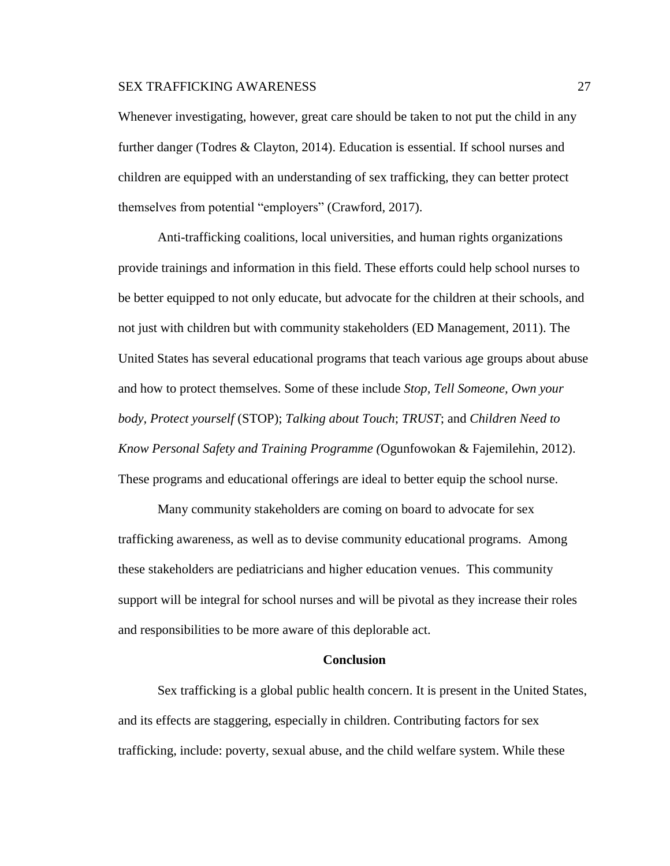Whenever investigating, however, great care should be taken to not put the child in any further danger (Todres & Clayton, 2014). Education is essential. If school nurses and children are equipped with an understanding of sex trafficking, they can better protect themselves from potential "employers" (Crawford, 2017).

Anti-trafficking coalitions, local universities, and human rights organizations provide trainings and information in this field. These efforts could help school nurses to be better equipped to not only educate, but advocate for the children at their schools, and not just with children but with community stakeholders (ED Management, 2011). The United States has several educational programs that teach various age groups about abuse and how to protect themselves. Some of these include *Stop, Tell Someone, Own your body, Protect yourself* (STOP); *Talking about Touch*; *TRUST*; and *Children Need to Know Personal Safety and Training Programme (*Ogunfowokan & Fajemilehin, 2012). These programs and educational offerings are ideal to better equip the school nurse.

Many community stakeholders are coming on board to advocate for sex trafficking awareness, as well as to devise community educational programs. Among these stakeholders are pediatricians and higher education venues. This community support will be integral for school nurses and will be pivotal as they increase their roles and responsibilities to be more aware of this deplorable act.

### **Conclusion**

Sex trafficking is a global public health concern. It is present in the United States, and its effects are staggering, especially in children. Contributing factors for sex trafficking, include: poverty, sexual abuse, and the child welfare system. While these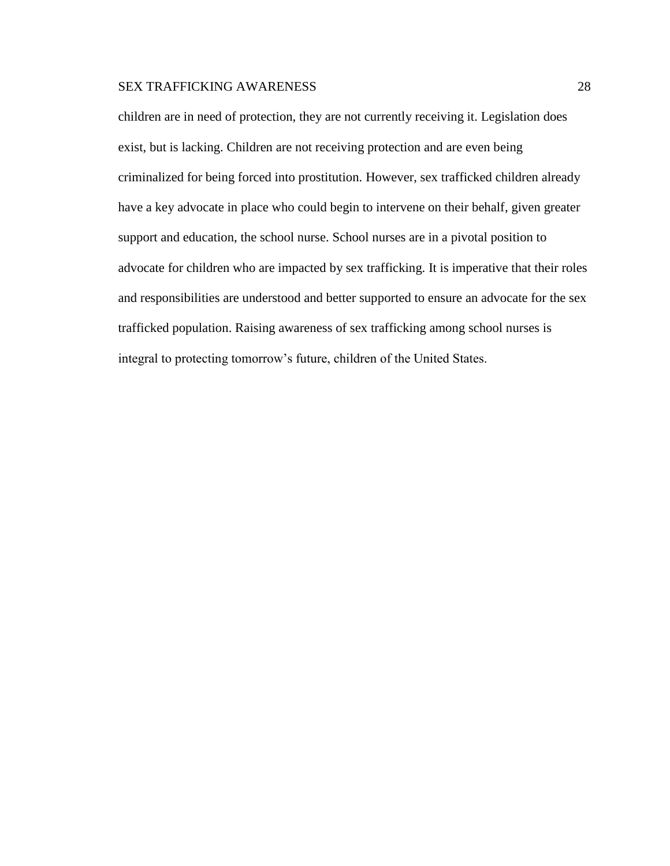children are in need of protection, they are not currently receiving it. Legislation does exist, but is lacking. Children are not receiving protection and are even being criminalized for being forced into prostitution. However, sex trafficked children already have a key advocate in place who could begin to intervene on their behalf, given greater support and education, the school nurse. School nurses are in a pivotal position to advocate for children who are impacted by sex trafficking. It is imperative that their roles and responsibilities are understood and better supported to ensure an advocate for the sex trafficked population. Raising awareness of sex trafficking among school nurses is integral to protecting tomorrow's future, children of the United States.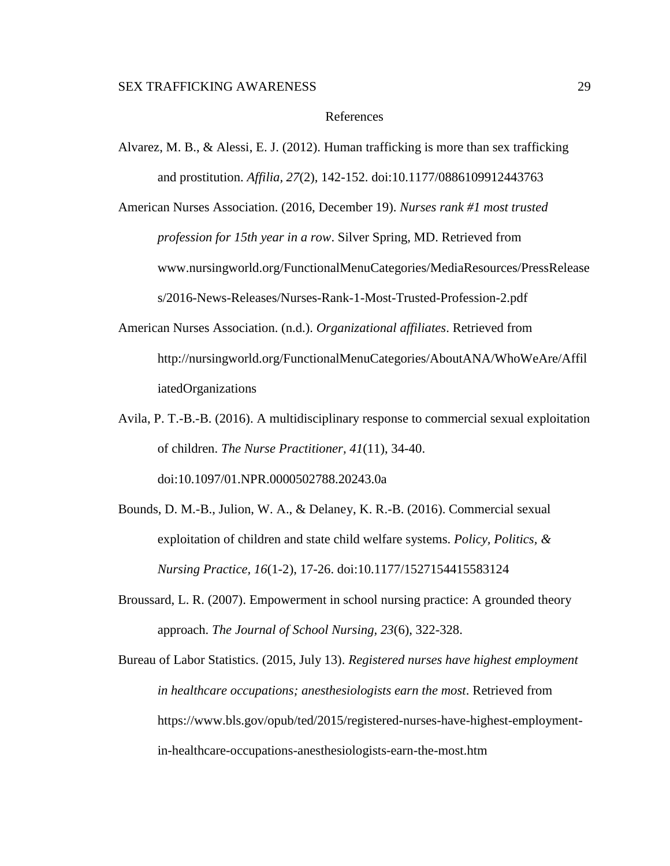#### References

Alvarez, M. B., & Alessi, E. J. (2012). Human trafficking is more than sex trafficking and prostitution. *Affilia, 27*(2), 142-152. doi:10.1177/0886109912443763

American Nurses Association. (2016, December 19). *Nurses rank #1 most trusted profession for 15th year in a row*. Silver Spring, MD. Retrieved from www.nursingworld.org/FunctionalMenuCategories/MediaResources/PressRelease s/2016-News-Releases/Nurses-Rank-1-Most-Trusted-Profession-2.pdf

- American Nurses Association. (n.d.). *Organizational affiliates*. Retrieved from http://nursingworld.org/FunctionalMenuCategories/AboutANA/WhoWeAre/Affil iatedOrganizations
- Avila, P. T.-B.-B. (2016). A multidisciplinary response to commercial sexual exploitation of children. *The Nurse Practitioner, 41*(11), 34-40. doi:10.1097/01.NPR.0000502788.20243.0a
- Bounds, D. M.-B., Julion, W. A., & Delaney, K. R.-B. (2016). Commercial sexual exploitation of children and state child welfare systems. *Policy, Politics, & Nursing Practice, 16*(1-2), 17-26. doi:10.1177/1527154415583124
- Broussard, L. R. (2007). Empowerment in school nursing practice: A grounded theory approach. *The Journal of School Nursing, 23*(6), 322-328.

Bureau of Labor Statistics. (2015, July 13). *Registered nurses have highest employment in healthcare occupations; anesthesiologists earn the most*. Retrieved from https://www.bls.gov/opub/ted/2015/registered-nurses-have-highest-employmentin-healthcare-occupations-anesthesiologists-earn-the-most.htm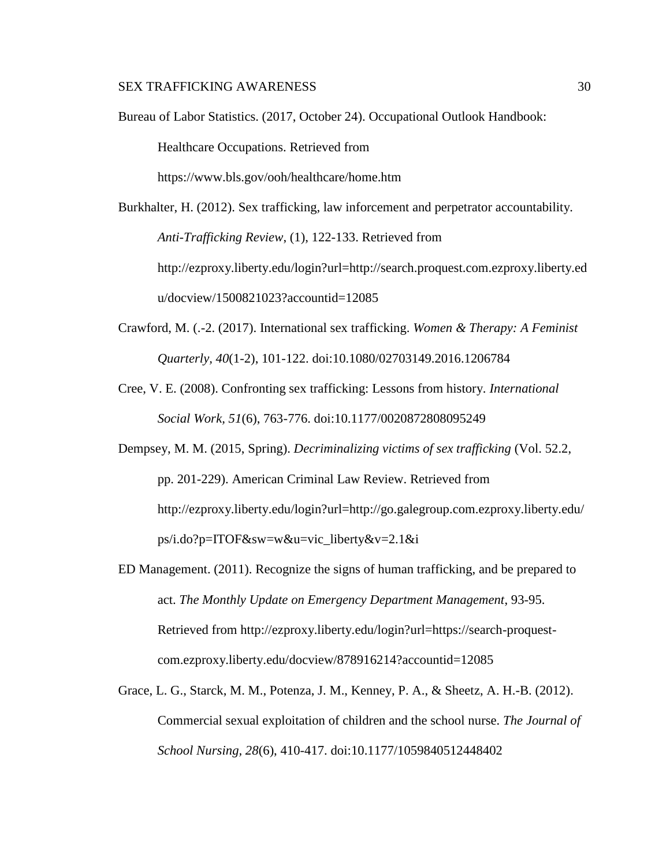- Bureau of Labor Statistics. (2017, October 24). Occupational Outlook Handbook: Healthcare Occupations. Retrieved from https://www.bls.gov/ooh/healthcare/home.htm
- Burkhalter, H. (2012). Sex trafficking, law inforcement and perpetrator accountability. *Anti-Trafficking Review*, (1), 122-133. Retrieved from http://ezproxy.liberty.edu/login?url=http://search.proquest.com.ezproxy.liberty.ed u/docview/1500821023?accountid=12085
- Crawford, M. (.-2. (2017). International sex trafficking. *Women & Therapy: A Feminist Quarterly, 40*(1-2), 101-122. doi:10.1080/02703149.2016.1206784
- Cree, V. E. (2008). Confronting sex trafficking: Lessons from history. *International Social Work, 51*(6), 763-776. doi:10.1177/0020872808095249
- Dempsey, M. M. (2015, Spring). *Decriminalizing victims of sex trafficking* (Vol. 52.2, pp. 201-229). American Criminal Law Review. Retrieved from http://ezproxy.liberty.edu/login?url=http://go.galegroup.com.ezproxy.liberty.edu/ ps/i.do?p=ITOF&sw=w&u=vic\_liberty&v=2.1&i
- ED Management. (2011). Recognize the signs of human trafficking, and be prepared to act. *The Monthly Update on Emergency Department Management*, 93-95. Retrieved from http://ezproxy.liberty.edu/login?url=https://search-proquestcom.ezproxy.liberty.edu/docview/878916214?accountid=12085
- Grace, L. G., Starck, M. M., Potenza, J. M., Kenney, P. A., & Sheetz, A. H.-B. (2012). Commercial sexual exploitation of children and the school nurse. *The Journal of School Nursing, 28*(6), 410-417. doi:10.1177/1059840512448402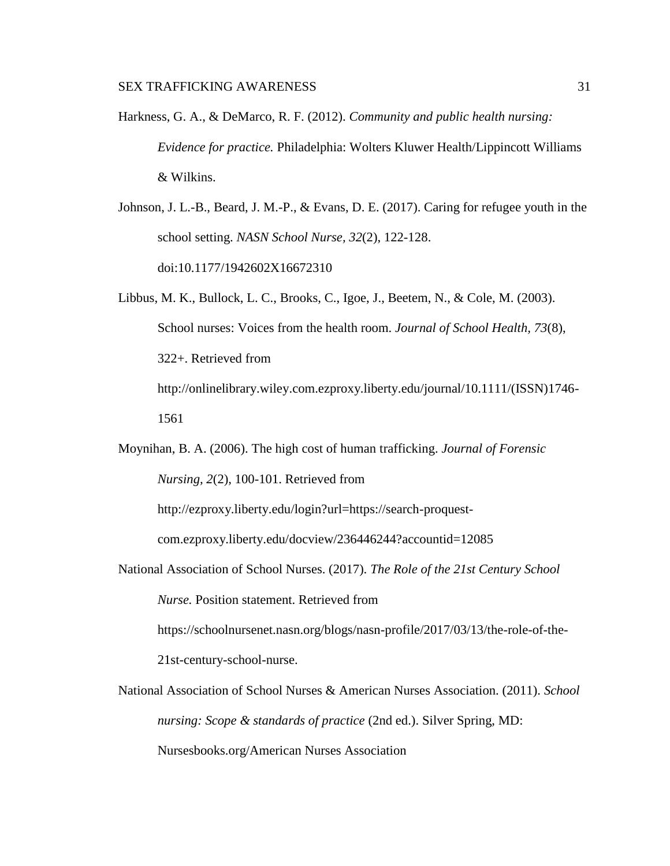- Harkness, G. A., & DeMarco, R. F. (2012). *Community and public health nursing: Evidence for practice.* Philadelphia: Wolters Kluwer Health/Lippincott Williams & Wilkins.
- Johnson, J. L.-B., Beard, J. M.-P., & Evans, D. E. (2017). Caring for refugee youth in the school setting. *NASN School Nurse, 32*(2), 122-128. doi:10.1177/1942602X16672310
- Libbus, M. K., Bullock, L. C., Brooks, C., Igoe, J., Beetem, N., & Cole, M. (2003). School nurses: Voices from the health room. *Journal of School Health, 73*(8), 322+. Retrieved from http://onlinelibrary.wiley.com.ezproxy.liberty.edu/journal/10.1111/(ISSN)1746- 1561
- Moynihan, B. A. (2006). The high cost of human trafficking. *Journal of Forensic Nursing, 2*(2), 100-101. Retrieved from

http://ezproxy.liberty.edu/login?url=https://search-proquest-

com.ezproxy.liberty.edu/docview/236446244?accountid=12085

National Association of School Nurses. (2017). *The Role of the 21st Century School* 

*Nurse.* Position statement. Retrieved from

https://schoolnursenet.nasn.org/blogs/nasn-profile/2017/03/13/the-role-of-the-

21st-century-school-nurse.

National Association of School Nurses & American Nurses Association. (2011). *School nursing: Scope & standards of practice* (2nd ed.). Silver Spring, MD: Nursesbooks.org/American Nurses Association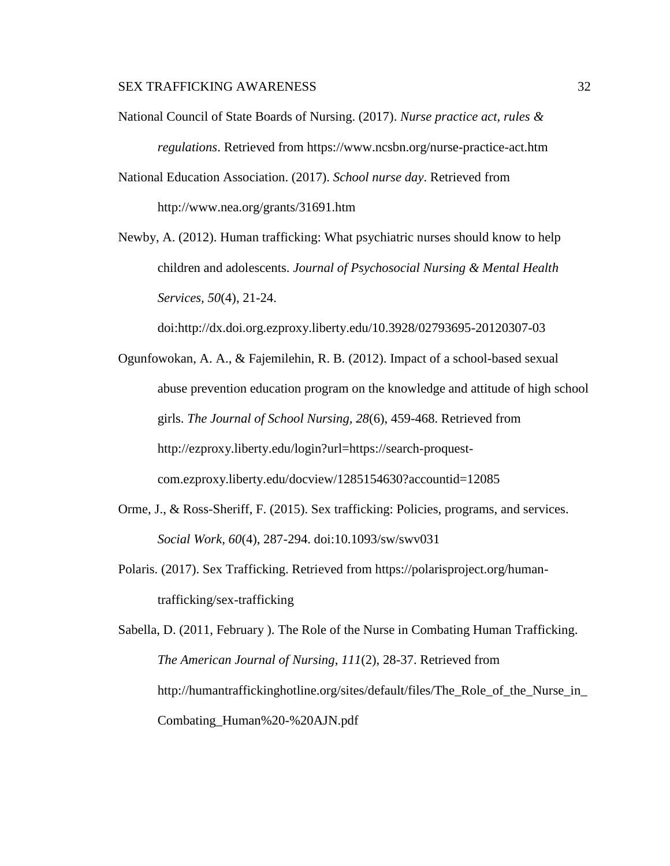- National Council of State Boards of Nursing. (2017). *Nurse practice act, rules & regulations*. Retrieved from https://www.ncsbn.org/nurse-practice-act.htm
- National Education Association. (2017). *School nurse day*. Retrieved from http://www.nea.org/grants/31691.htm
- Newby, A. (2012). Human trafficking: What psychiatric nurses should know to help children and adolescents. *Journal of Psychosocial Nursing & Mental Health Services, 50*(4), 21-24.

doi:http://dx.doi.org.ezproxy.liberty.edu/10.3928/02793695-20120307-03

- Ogunfowokan, A. A., & Fajemilehin, R. B. (2012). Impact of a school-based sexual abuse prevention education program on the knowledge and attitude of high school girls. *The Journal of School Nursing, 28*(6), 459-468. Retrieved from http://ezproxy.liberty.edu/login?url=https://search-proquestcom.ezproxy.liberty.edu/docview/1285154630?accountid=12085
- Orme, J., & Ross-Sheriff, F. (2015). Sex trafficking: Policies, programs, and services. *Social Work, 60*(4), 287-294. doi:10.1093/sw/swv031
- Polaris. (2017). Sex Trafficking. Retrieved from https://polarisproject.org/humantrafficking/sex-trafficking

Sabella, D. (2011, February ). The Role of the Nurse in Combating Human Trafficking. *The American Journal of Nursing*, *111*(2), 28-37. Retrieved from http://humantraffickinghotline.org/sites/default/files/The\_Role\_of\_the\_Nurse\_in\_ Combating\_Human%20-%20AJN.pdf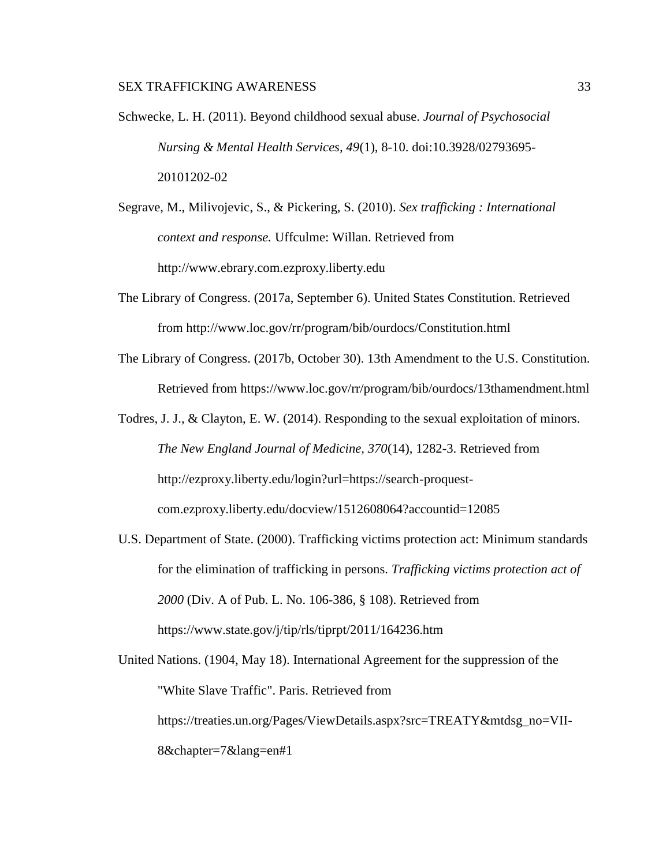- Schwecke, L. H. (2011). Beyond childhood sexual abuse. *Journal of Psychosocial Nursing & Mental Health Services, 49*(1), 8-10. doi:10.3928/02793695- 20101202-02
- Segrave, M., Milivojevic, S., & Pickering, S. (2010). *Sex trafficking : International context and response.* Uffculme: Willan. Retrieved from http://www.ebrary.com.ezproxy.liberty.edu
- The Library of Congress. (2017a, September 6). United States Constitution. Retrieved from http://www.loc.gov/rr/program/bib/ourdocs/Constitution.html
- The Library of Congress. (2017b, October 30). 13th Amendment to the U.S. Constitution. Retrieved from https://www.loc.gov/rr/program/bib/ourdocs/13thamendment.html
- Todres, J. J., & Clayton, E. W. (2014). Responding to the sexual exploitation of minors. *The New England Journal of Medicine, 370*(14), 1282-3. Retrieved from http://ezproxy.liberty.edu/login?url=https://search-proquestcom.ezproxy.liberty.edu/docview/1512608064?accountid=12085
- U.S. Department of State. (2000). Trafficking victims protection act: Minimum standards for the elimination of trafficking in persons. *Trafficking victims protection act of 2000* (Div. A of Pub. L. No. 106-386, § 108). Retrieved from https://www.state.gov/j/tip/rls/tiprpt/2011/164236.htm

United Nations. (1904, May 18). International Agreement for the suppression of the "White Slave Traffic". Paris. Retrieved from https://treaties.un.org/Pages/ViewDetails.aspx?src=TREATY&mtdsg\_no=VII-8&chapter=7&lang=en#1